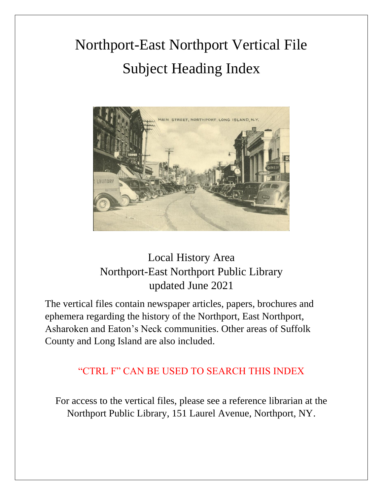# Northport-East Northport Vertical File Subject Heading Index



## Local History Area Northport-East Northport Public Library updated June 2021

The vertical files contain newspaper articles, papers, brochures and ephemera regarding the history of the Northport, East Northport, Asharoken and Eaton's Neck communities. Other areas of Suffolk County and Long Island are also included.

### "CTRL F" CAN BE USED TO SEARCH THIS INDEX

For access to the vertical files, please see a reference librarian at the Northport Public Library, 151 Laurel Avenue, Northport, NY.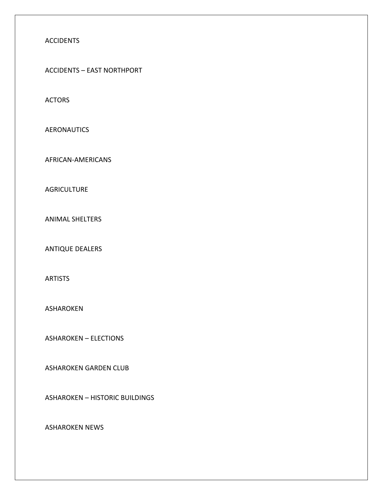#### ACCIDENTS

ACCIDENTS – EAST NORTHPORT

ACTORS

AERONAUTICS

AFRICAN-AMERICANS

**AGRICULTURE** 

ANIMAL SHELTERS

ANTIQUE DEALERS

ARTISTS

ASHAROKEN

ASHAROKEN – ELECTIONS

ASHAROKEN GARDEN CLUB

ASHAROKEN – HISTORIC BUILDINGS

ASHAROKEN NEWS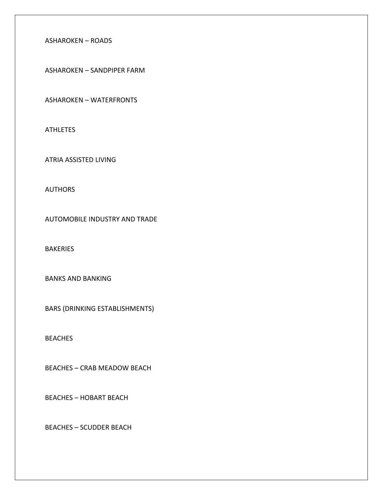#### ASHAROKEN – ROADS

ASHAROKEN – SANDPIPER FARM

ASHAROKEN – WATERFRONTS

**ATHLETES** 

ATRIA ASSISTED LIVING

**AUTHORS** 

AUTOMOBILE INDUSTRY AND TRADE

**BAKERIES** 

BANKS AND BANKING

BARS (DRINKING ESTABLISHMENTS)

BEACHES

BEACHES – CRAB MEADOW BEACH

BEACHES – HOBART BEACH

BEACHES – SCUDDER BEACH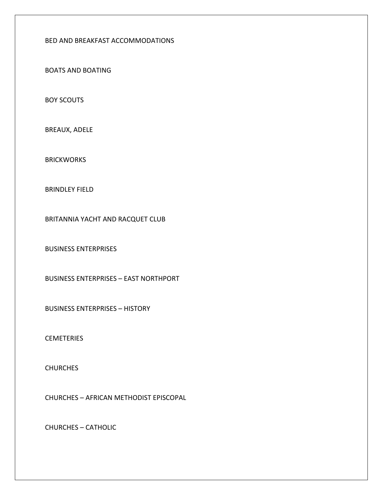#### BED AND BREAKFAST ACCOMMODATIONS

BOATS AND BOATING

BOY SCOUTS

BREAUX, ADELE

**BRICKWORKS** 

BRINDLEY FIELD

BRITANNIA YACHT AND RACQUET CLUB

BUSINESS ENTERPRISES

BUSINESS ENTERPRISES – EAST NORTHPORT

BUSINESS ENTERPRISES – HISTORY

**CEMETERIES** 

**CHURCHES** 

CHURCHES – AFRICAN METHODIST EPISCOPAL

CHURCHES – CATHOLIC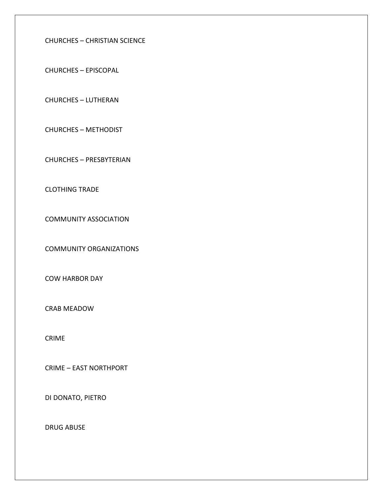CHURCHES – CHRISTIAN SCIENCE

CHURCHES – EPISCOPAL

CHURCHES – LUTHERAN

CHURCHES – METHODIST

CHURCHES – PRESBYTERIAN

CLOTHING TRADE

COMMUNITY ASSOCIATION

COMMUNITY ORGANIZATIONS

COW HARBOR DAY

CRAB MEADOW

CRIME

CRIME – EAST NORTHPORT

DI DONATO, PIETRO

DRUG ABUSE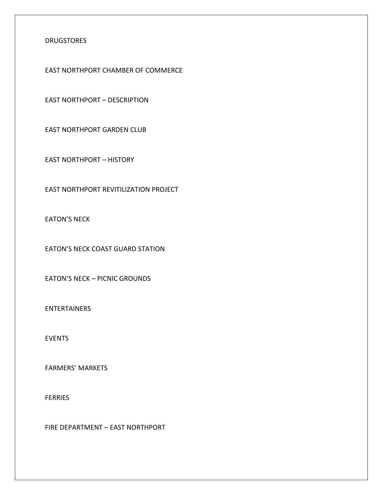#### DRUGSTORES

EAST NORTHPORT CHAMBER OF COMMERCE

EAST NORTHPORT – DESCRIPTION

EAST NORTHPORT GARDEN CLUB

EAST NORTHPORT – HISTORY

EAST NORTHPORT REVITILIZATION PROJECT

EATON'S NECK

EATON'S NECK COAST GUARD STATION

EATON'S NECK – PICNIC GROUNDS

ENTERTAINERS

EVENTS

FARMERS' MARKETS

FERRIES

FIRE DEPARTMENT – EAST NORTHPORT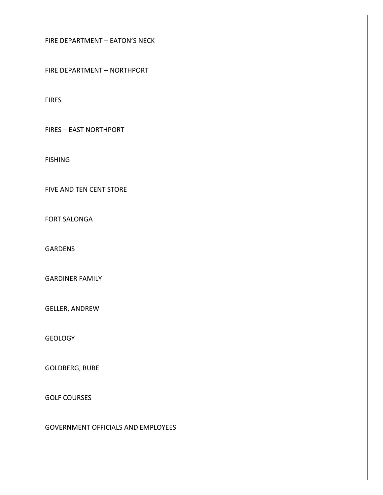FIRE DEPARTMENT – EATON'S NECK

FIRE DEPARTMENT – NORTHPORT

FIRES

FIRES – EAST NORTHPORT

FISHING

FIVE AND TEN CENT STORE

FORT SALONGA

GARDENS

GARDINER FAMILY

GELLER, ANDREW

**GEOLOGY** 

GOLDBERG, RUBE

GOLF COURSES

GOVERNMENT OFFICIALS AND EMPLOYEES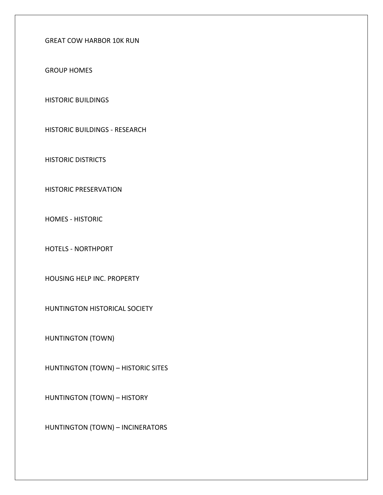GREAT COW HARBOR 10K RUN

GROUP HOMES

HISTORIC BUILDINGS

HISTORIC BUILDINGS - RESEARCH

HISTORIC DISTRICTS

HISTORIC PRESERVATION

HOMES - HISTORIC

HOTELS - NORTHPORT

HOUSING HELP INC. PROPERTY

HUNTINGTON HISTORICAL SOCIETY

HUNTINGTON (TOWN)

HUNTINGTON (TOWN) – HISTORIC SITES

HUNTINGTON (TOWN) – HISTORY

HUNTINGTON (TOWN) – INCINERATORS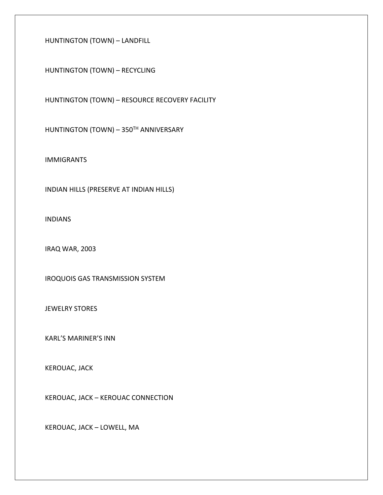HUNTINGTON (TOWN) – LANDFILL

HUNTINGTON (TOWN) – RECYCLING

HUNTINGTON (TOWN) – RESOURCE RECOVERY FACILITY

HUNTINGTON (TOWN) - 350TH ANNIVERSARY

IMMIGRANTS

INDIAN HILLS (PRESERVE AT INDIAN HILLS)

INDIANS

IRAQ WAR, 2003

IROQUOIS GAS TRANSMISSION SYSTEM

JEWELRY STORES

KARL'S MARINER'S INN

KEROUAC, JACK

KEROUAC, JACK – KEROUAC CONNECTION

KEROUAC, JACK – LOWELL, MA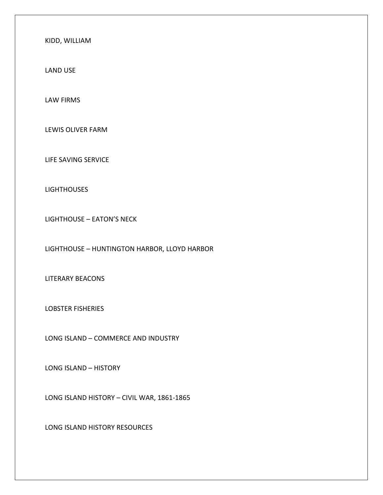KIDD, WILLIAM

LAND USE

LAW FIRMS

LEWIS OLIVER FARM

LIFE SAVING SERVICE

**LIGHTHOUSES** 

LIGHTHOUSE – EATON'S NECK

LIGHTHOUSE – HUNTINGTON HARBOR, LLOYD HARBOR

LITERARY BEACONS

LOBSTER FISHERIES

LONG ISLAND – COMMERCE AND INDUSTRY

LONG ISLAND – HISTORY

LONG ISLAND HISTORY – CIVIL WAR, 1861-1865

LONG ISLAND HISTORY RESOURCES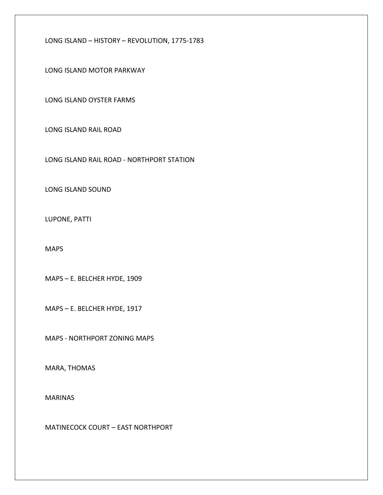LONG ISLAND – HISTORY – REVOLUTION, 1775-1783

LONG ISLAND MOTOR PARKWAY

LONG ISLAND OYSTER FARMS

LONG ISLAND RAIL ROAD

LONG ISLAND RAIL ROAD - NORTHPORT STATION

LONG ISLAND SOUND

LUPONE, PATTI

MAPS

MAPS – E. BELCHER HYDE, 1909

MAPS – E. BELCHER HYDE, 1917

MAPS - NORTHPORT ZONING MAPS

MARA, THOMAS

MARINAS

MATINECOCK COURT – EAST NORTHPORT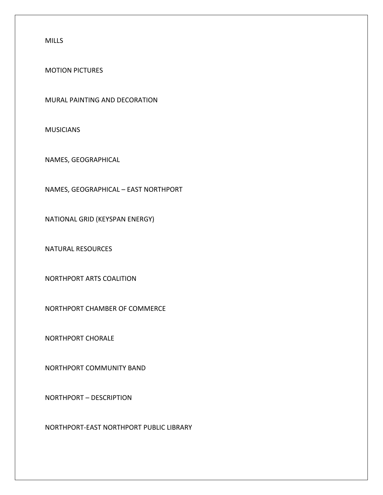MILLS

MOTION PICTURES

MURAL PAINTING AND DECORATION

MUSICIANS

NAMES, GEOGRAPHICAL

NAMES, GEOGRAPHICAL – EAST NORTHPORT

NATIONAL GRID (KEYSPAN ENERGY)

NATURAL RESOURCES

NORTHPORT ARTS COALITION

NORTHPORT CHAMBER OF COMMERCE

NORTHPORT CHORALE

NORTHPORT COMMUNITY BAND

NORTHPORT – DESCRIPTION

NORTHPORT-EAST NORTHPORT PUBLIC LIBRARY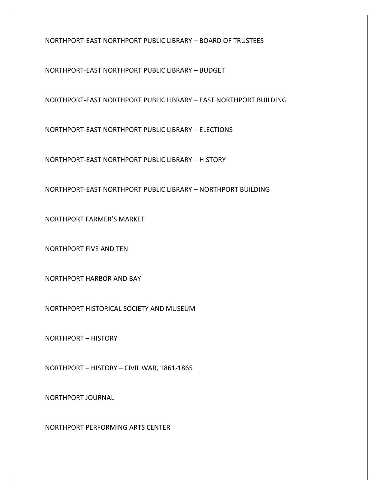NORTHPORT-EAST NORTHPORT PUBLIC LIBRARY – BOARD OF TRUSTEES

NORTHPORT-EAST NORTHPORT PUBLIC LIBRARY – BUDGET

NORTHPORT-EAST NORTHPORT PUBLIC LIBRARY – EAST NORTHPORT BUILDING

NORTHPORT-EAST NORTHPORT PUBLIC LIBRARY – ELECTIONS

NORTHPORT-EAST NORTHPORT PUBLIC LIBRARY – HISTORY

NORTHPORT-EAST NORTHPORT PUBLIC LIBRARY – NORTHPORT BUILDING

NORTHPORT FARMER'S MARKET

NORTHPORT FIVE AND TEN

NORTHPORT HARBOR AND BAY

NORTHPORT HISTORICAL SOCIETY AND MUSEUM

NORTHPORT – HISTORY

NORTHPORT – HISTORY – CIVIL WAR, 1861-1865

NORTHPORT JOURNAL

NORTHPORT PERFORMING ARTS CENTER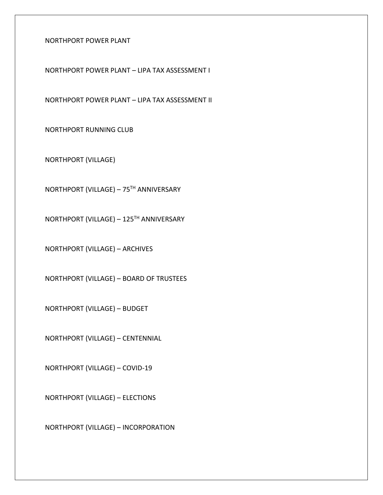NORTHPORT POWER PLANT

NORTHPORT POWER PLANT – LIPA TAX ASSESSMENT I

NORTHPORT POWER PLANT – LIPA TAX ASSESSMENT II

NORTHPORT RUNNING CLUB

NORTHPORT (VILLAGE)

NORTHPORT (VILLAGE) – 75TH ANNIVERSARY

NORTHPORT (VILLAGE) – 125TH ANNIVERSARY

NORTHPORT (VILLAGE) – ARCHIVES

NORTHPORT (VILLAGE) – BOARD OF TRUSTEES

NORTHPORT (VILLAGE) – BUDGET

NORTHPORT (VILLAGE) – CENTENNIAL

NORTHPORT (VILLAGE) – COVID-19

NORTHPORT (VILLAGE) – ELECTIONS

NORTHPORT (VILLAGE) – INCORPORATION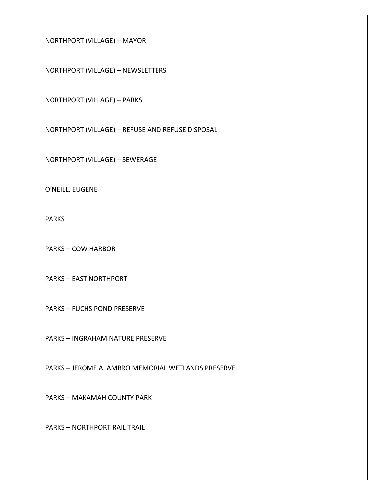NORTHPORT (VILLAGE) – MAYOR

NORTHPORT (VILLAGE) – NEWSLETTERS

NORTHPORT (VILLAGE) – PARKS

NORTHPORT (VILLAGE) – REFUSE AND REFUSE DISPOSAL

NORTHPORT (VILLAGE) – SEWERAGE

O'NEILL, EUGENE

PARKS

PARKS – COW HARBOR

PARKS – EAST NORTHPORT

PARKS – FUCHS POND PRESERVE

PARKS – INGRAHAM NATURE PRESERVE

PARKS – JEROME A. AMBRO MEMORIAL WETLANDS PRESERVE

PARKS – MAKAMAH COUNTY PARK

PARKS – NORTHPORT RAIL TRAIL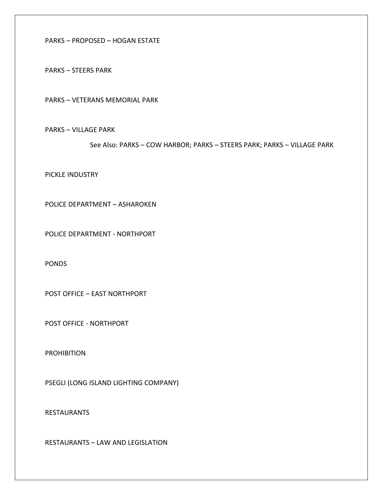PARKS – PROPOSED – HOGAN ESTATE

PARKS – STEERS PARK

PARKS – VETERANS MEMORIAL PARK

PARKS – VILLAGE PARK

See Also: PARKS – COW HARBOR; PARKS – STEERS PARK; PARKS – VILLAGE PARK

PICKLE INDUSTRY

POLICE DEPARTMENT – ASHAROKEN

POLICE DEPARTMENT - NORTHPORT

PONDS

POST OFFICE – EAST NORTHPORT

POST OFFICE - NORTHPORT

PROHIBITION

PSEGLI (LONG ISLAND LIGHTING COMPANY)

RESTAURANTS

RESTAURANTS – LAW AND LEGISLATION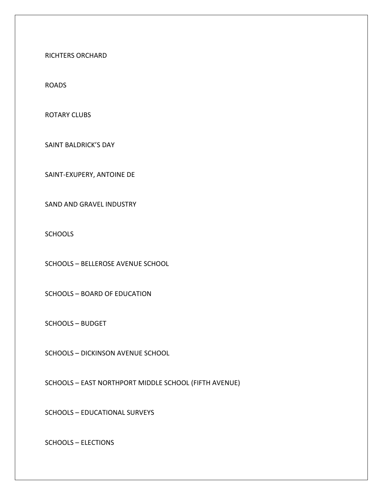RICHTERS ORCHARD

ROADS

ROTARY CLUBS

SAINT BALDRICK'S DAY

SAINT-EXUPERY, ANTOINE DE

SAND AND GRAVEL INDUSTRY

**SCHOOLS** 

SCHOOLS – BELLEROSE AVENUE SCHOOL

SCHOOLS – BOARD OF EDUCATION

SCHOOLS – BUDGET

SCHOOLS – DICKINSON AVENUE SCHOOL

SCHOOLS – EAST NORTHPORT MIDDLE SCHOOL (FIFTH AVENUE)

SCHOOLS – EDUCATIONAL SURVEYS

SCHOOLS – ELECTIONS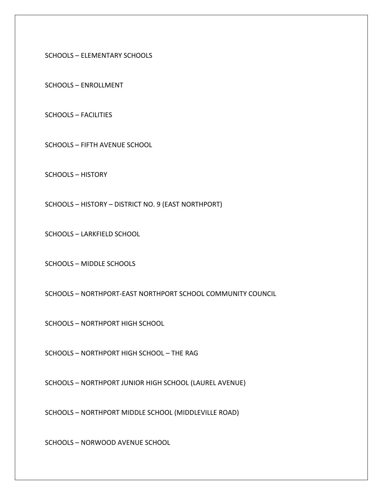SCHOOLS – ELEMENTARY SCHOOLS

SCHOOLS – ENROLLMENT

SCHOOLS – FACILITIES

SCHOOLS – FIFTH AVENUE SCHOOL

SCHOOLS – HISTORY

SCHOOLS – HISTORY – DISTRICT NO. 9 (EAST NORTHPORT)

SCHOOLS – LARKFIELD SCHOOL

SCHOOLS – MIDDLE SCHOOLS

SCHOOLS – NORTHPORT-EAST NORTHPORT SCHOOL COMMUNITY COUNCIL

SCHOOLS – NORTHPORT HIGH SCHOOL

SCHOOLS – NORTHPORT HIGH SCHOOL – THE RAG

SCHOOLS – NORTHPORT JUNIOR HIGH SCHOOL (LAUREL AVENUE)

SCHOOLS – NORTHPORT MIDDLE SCHOOL (MIDDLEVILLE ROAD)

SCHOOLS – NORWOOD AVENUE SCHOOL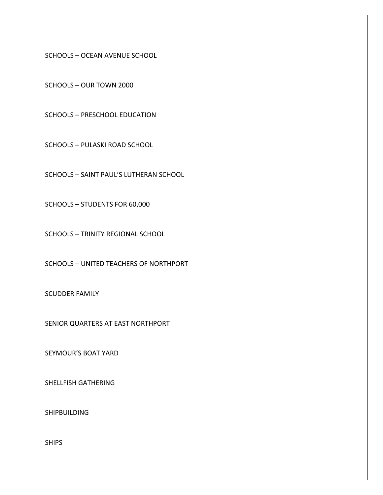SCHOOLS – OCEAN AVENUE SCHOOL

SCHOOLS – OUR TOWN 2000

SCHOOLS – PRESCHOOL EDUCATION

SCHOOLS – PULASKI ROAD SCHOOL

SCHOOLS – SAINT PAUL'S LUTHERAN SCHOOL

SCHOOLS – STUDENTS FOR 60,000

SCHOOLS – TRINITY REGIONAL SCHOOL

SCHOOLS – UNITED TEACHERS OF NORTHPORT

SCUDDER FAMILY

SENIOR QUARTERS AT EAST NORTHPORT

SEYMOUR'S BOAT YARD

SHELLFISH GATHERING

SHIPBUILDING

SHIPS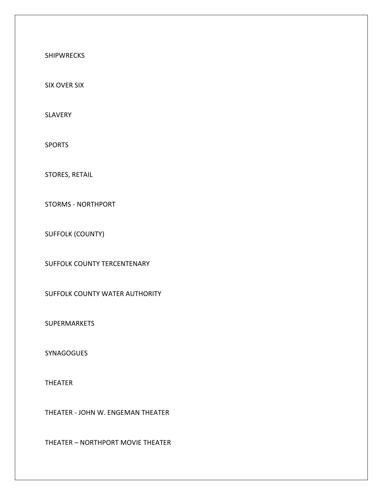SHIPWRECKS

SIX OVER SIX

SLAVERY

SPORTS

STORES, RETAIL

STORMS - NORTHPORT

SUFFOLK (COUNTY)

SUFFOLK COUNTY TERCENTENARY

SUFFOLK COUNTY WATER AUTHORITY

SUPERMARKETS

**SYNAGOGUES** 

THEATER

THEATER - JOHN W. ENGEMAN THEATER

THEATER – NORTHPORT MOVIE THEATER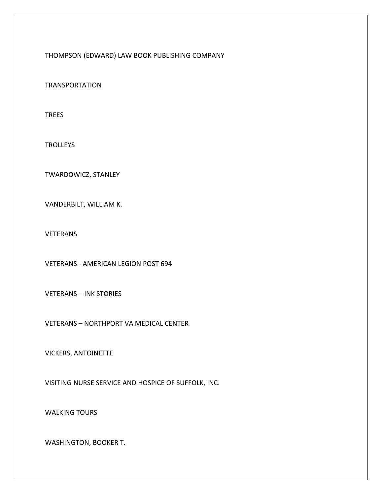THOMPSON (EDWARD) LAW BOOK PUBLISHING COMPANY

TRANSPORTATION

TREES

**TROLLEYS** 

TWARDOWICZ, STANLEY

VANDERBILT, WILLIAM K.

VETERANS

VETERANS - AMERICAN LEGION POST 694

VETERANS – INK STORIES

VETERANS – NORTHPORT VA MEDICAL CENTER

VICKERS, ANTOINETTE

VISITING NURSE SERVICE AND HOSPICE OF SUFFOLK, INC.

WALKING TOURS

WASHINGTON, BOOKER T.